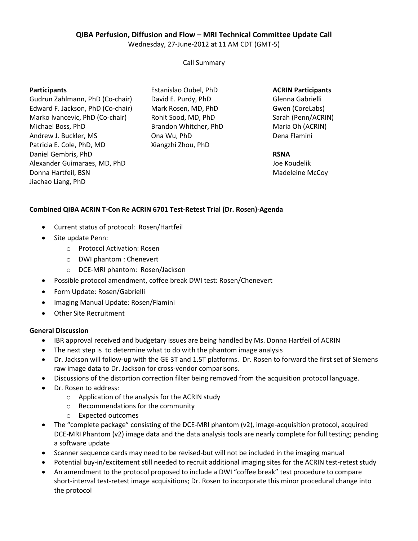# **QIBA Perfusion, Diffusion and Flow – MRI Technical Committee Update Call**

Wednesday, 27-June-2012 at 11 AM CDT (GMT-5)

Call Summary

### **Participants**

Gudrun Zahlmann, PhD (Co-chair) Edward F. Jackson, PhD (Co-chair) Marko Ivancevic, PhD (Co-chair) Michael Boss, PhD Andrew J. Buckler, MS Patricia E. Cole, PhD, MD Daniel Gembris, PhD Alexander Guimaraes, MD, PhD Donna Hartfeil, BSN Jiachao Liang, PhD

Estanislao Oubel, PhD David E. Purdy, PhD Mark Rosen, MD, PhD Rohit Sood, MD, PhD Brandon Whitcher, PhD Ona Wu, PhD Xiangzhi Zhou, PhD

**ACRIN Participants** Glenna Gabrielli Gwen (CoreLabs) Sarah (Penn/ACRIN) Maria Oh (ACRIN) Dena Flamini

### **RSNA**

Joe Koudelik Madeleine McCoy

## **Combined QIBA ACRIN T-Con Re ACRIN 6701 Test-Retest Trial (Dr. Rosen)-Agenda**

- Current status of protocol: Rosen/Hartfeil
- Site update Penn:
	- o Protocol Activation: Rosen
	- o DWI phantom : Chenevert
	- o DCE-MRI phantom: Rosen/Jackson
- Possible protocol amendment, coffee break DWI test: Rosen/Chenevert
- Form Update: Rosen/Gabrielli
- Imaging Manual Update: Rosen/Flamini
- Other Site Recruitment

### **General Discussion**

- IBR approval received and budgetary issues are being handled by Ms. Donna Hartfeil of ACRIN
- The next step is to determine what to do with the phantom image analysis
- Dr. Jackson will follow-up with the GE 3T and 1.5T platforms.Dr. Rosen to forward the first set of Siemens raw image data to Dr. Jackson for cross-vendor comparisons.
- Discussions of the distortion correction filter being removed from the acquisition protocol language.
- Dr. Rosen to address:
	- o Application of the analysis for the ACRIN study
	- o Recommendations for the community
	- o Expected outcomes
- The "complete package" consisting of the DCE-MRI phantom (v2), image-acquisition protocol, acquired DCE-MRI Phantom (v2) image data and the data analysis tools are nearly complete for full testing; pending a software update
- Scanner sequence cards may need to be revised-but will not be included in the imaging manual
- Potential buy-in/excitement still needed to recruit additional imaging sites for the ACRIN test-retest study
- An amendment to the protocol proposed to include a DWI "coffee break" test procedure to compare short-interval test-retest image acquisitions; Dr. Rosen to incorporate this minor procedural change into the protocol